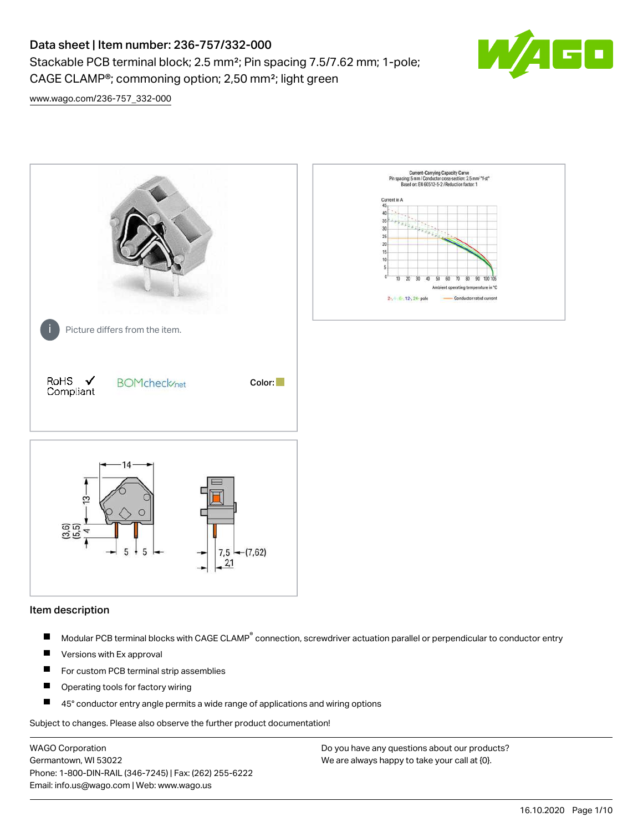# Data sheet | Item number: 236-757/332-000

Stackable PCB terminal block; 2.5 mm²; Pin spacing 7.5/7.62 mm; 1-pole; CAGE CLAMP®; commoning option; 2,50 mm²; light green



[www.wago.com/236-757\\_332-000](http://www.wago.com/236-757_332-000)



### Item description

- Modular PCB terminal blocks with CAGE CLAMP<sup>®</sup> connection, screwdriver actuation parallel or perpendicular to conductor entry П
- $\blacksquare$ Versions with Ex approval
- П For custom PCB terminal strip assemblies
- $\blacksquare$ Operating tools for factory wiring
- П 45° conductor entry angle permits a wide range of applications and wiring options

Subject to changes. Please also observe the further product documentation!

WAGO Corporation Germantown, WI 53022 Phone: 1-800-DIN-RAIL (346-7245) | Fax: (262) 255-6222 Email: info.us@wago.com | Web: www.wago.us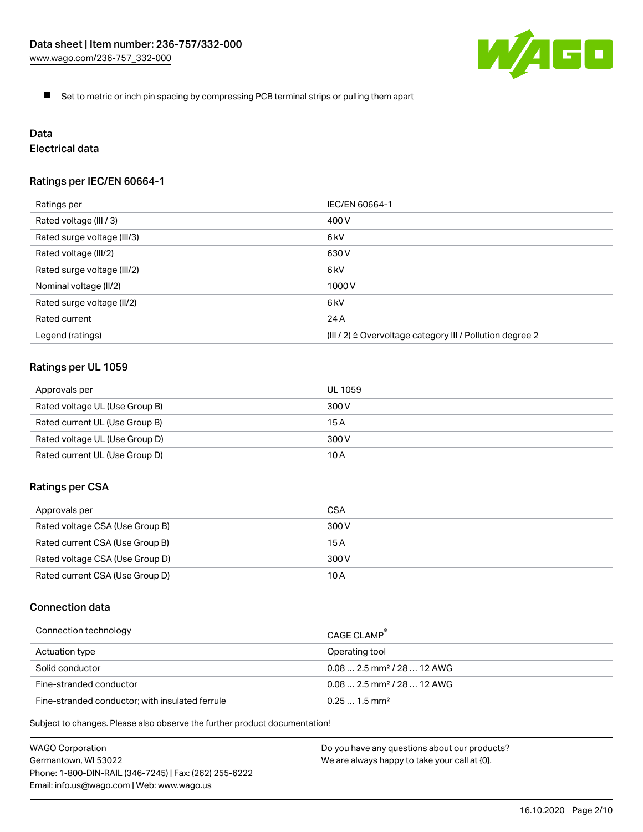

 $\blacksquare$ Set to metric or inch pin spacing by compressing PCB terminal strips or pulling them apart

# Data

## Electrical data

## Ratings per IEC/EN 60664-1

| Ratings per                 | IEC/EN 60664-1                                                        |
|-----------------------------|-----------------------------------------------------------------------|
| Rated voltage (III / 3)     | 400 V                                                                 |
| Rated surge voltage (III/3) | 6kV                                                                   |
| Rated voltage (III/2)       | 630 V                                                                 |
| Rated surge voltage (III/2) | 6 <sub>kV</sub>                                                       |
| Nominal voltage (II/2)      | 1000 V                                                                |
| Rated surge voltage (II/2)  | 6 <sub>kV</sub>                                                       |
| Rated current               | 24 A                                                                  |
| Legend (ratings)            | $(III / 2)$ $\triangle$ Overvoltage category III / Pollution degree 2 |

## Ratings per UL 1059

| Approvals per                  | UL 1059 |
|--------------------------------|---------|
| Rated voltage UL (Use Group B) | 300 V   |
| Rated current UL (Use Group B) | 15 A    |
| Rated voltage UL (Use Group D) | 300 V   |
| Rated current UL (Use Group D) | 10 A    |

## Ratings per CSA

| Approvals per                   | CSA   |
|---------------------------------|-------|
| Rated voltage CSA (Use Group B) | 300 V |
| Rated current CSA (Use Group B) | 15 A  |
| Rated voltage CSA (Use Group D) | 300 V |
| Rated current CSA (Use Group D) | 10 A  |

## Connection data

| Connection technology                           | CAGE CLAMP                              |
|-------------------------------------------------|-----------------------------------------|
| Actuation type                                  | Operating tool                          |
| Solid conductor                                 | $0.08$ 2.5 mm <sup>2</sup> / 28  12 AWG |
| Fine-stranded conductor                         | $0.082.5$ mm <sup>2</sup> / 28  12 AWG  |
| Fine-stranded conductor; with insulated ferrule | $0.251.5$ mm <sup>2</sup>               |

Subject to changes. Please also observe the further product documentation!

| WAGO Corporation                                       |
|--------------------------------------------------------|
| Germantown, WI 53022                                   |
| Phone: 1-800-DIN-RAIL (346-7245)   Fax: (262) 255-6222 |
| Email: info.us@wago.com   Web: www.wago.us             |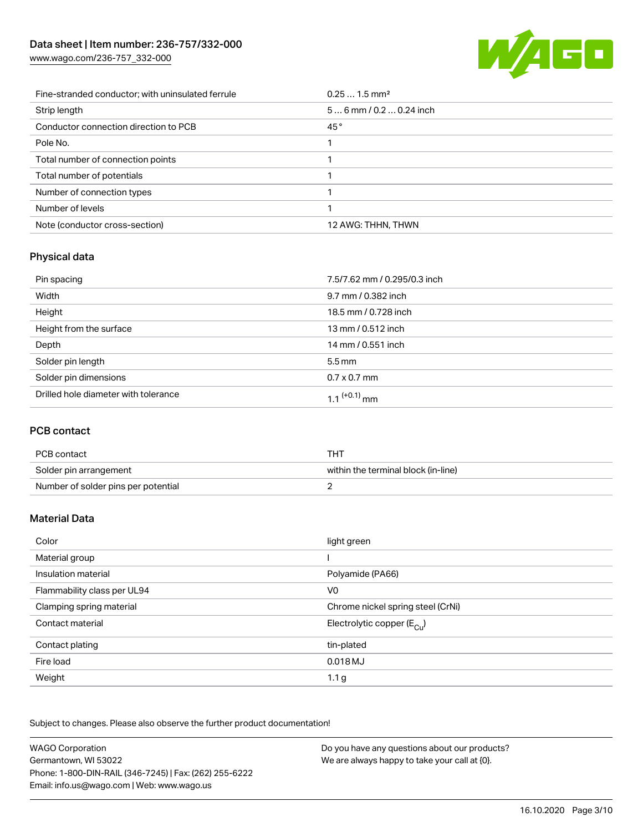[www.wago.com/236-757\\_332-000](http://www.wago.com/236-757_332-000)



| Fine-stranded conductor; with uninsulated ferrule | $0.251.5$ mm <sup>2</sup> |
|---------------------------------------------------|---------------------------|
| Strip length                                      | $56$ mm $/ 0.20.24$ inch  |
| Conductor connection direction to PCB             | 45°                       |
| Pole No.                                          |                           |
| Total number of connection points                 |                           |
| Total number of potentials                        |                           |
| Number of connection types                        |                           |
| Number of levels                                  |                           |
| Note (conductor cross-section)                    | 12 AWG: THHN, THWN        |

## Physical data

| Pin spacing                          | 7.5/7.62 mm / 0.295/0.3 inch |
|--------------------------------------|------------------------------|
| Width                                | 9.7 mm / 0.382 inch          |
| Height                               | 18.5 mm / 0.728 inch         |
| Height from the surface              | 13 mm / 0.512 inch           |
| Depth                                | 14 mm / 0.551 inch           |
| Solder pin length                    | $5.5 \,\mathrm{mm}$          |
| Solder pin dimensions                | $0.7 \times 0.7$ mm          |
| Drilled hole diameter with tolerance | 1.1 <sup>(+0.1)</sup> mm     |

## PCB contact

| PCB contact                         | THT                                 |
|-------------------------------------|-------------------------------------|
| Solder pin arrangement              | within the terminal block (in-line) |
| Number of solder pins per potential |                                     |

## Material Data

| Color                       | light green                           |
|-----------------------------|---------------------------------------|
| Material group              |                                       |
| Insulation material         | Polyamide (PA66)                      |
| Flammability class per UL94 | V <sub>0</sub>                        |
| Clamping spring material    | Chrome nickel spring steel (CrNi)     |
| Contact material            | Electrolytic copper $(E_{\text{Cl}})$ |
| Contact plating             | tin-plated                            |
| Fire load                   | 0.018 MJ                              |
| Weight                      | 1.1 <sub>g</sub>                      |

Subject to changes. Please also observe the further product documentation!

| <b>WAGO Corporation</b>                                | Do you have any questions about our products? |
|--------------------------------------------------------|-----------------------------------------------|
| Germantown, WI 53022                                   | We are always happy to take your call at {0}. |
| Phone: 1-800-DIN-RAIL (346-7245)   Fax: (262) 255-6222 |                                               |
| Email: info.us@wago.com   Web: www.wago.us             |                                               |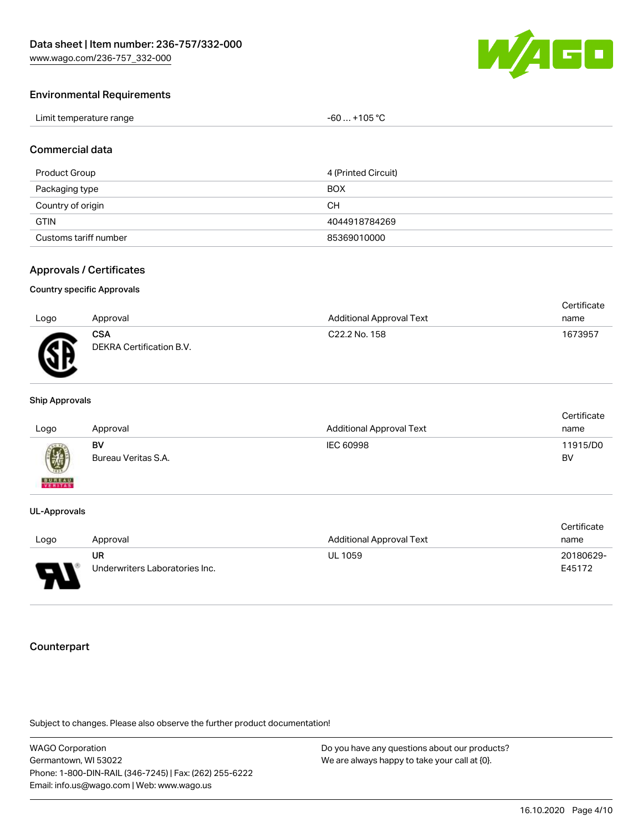

## Environmental Requirements

| Limit temperature range | . +105 °C<br>-60 |
|-------------------------|------------------|
|-------------------------|------------------|

### Commercial data

| Product Group         | 4 (Printed Circuit) |
|-----------------------|---------------------|
| Packaging type        | <b>BOX</b>          |
| Country of origin     | CН                  |
| <b>GTIN</b>           | 4044918784269       |
| Customs tariff number | 85369010000         |

### Approvals / Certificates

#### Country specific Approvals

| Logo | Approval                               | <b>Additional Approval Text</b> | Certificate<br>name |
|------|----------------------------------------|---------------------------------|---------------------|
| Æ    | <b>CSA</b><br>DEKRA Certification B.V. | C <sub>22.2</sub> No. 158       | 1673957             |

#### Ship Approvals

| Logo          | Approval                  | <b>Additional Approval Text</b> | Certificate<br>name |
|---------------|---------------------------|---------------------------------|---------------------|
| Ø             | BV<br>Bureau Veritas S.A. | IEC 60998                       | 11915/D0<br>BV      |
| <b>BUREAU</b> |                           |                                 |                     |

#### UL-Approvals

|      |                                |                                 | Certificate |
|------|--------------------------------|---------------------------------|-------------|
| Logo | Approval                       | <b>Additional Approval Text</b> | name        |
|      | UR                             | <b>UL 1059</b>                  | 20180629-   |
| ſ    | Underwriters Laboratories Inc. |                                 | E45172      |

### **Counterpart**

Subject to changes. Please also observe the further product documentation!

WAGO Corporation Germantown, WI 53022 Phone: 1-800-DIN-RAIL (346-7245) | Fax: (262) 255-6222 Email: info.us@wago.com | Web: www.wago.us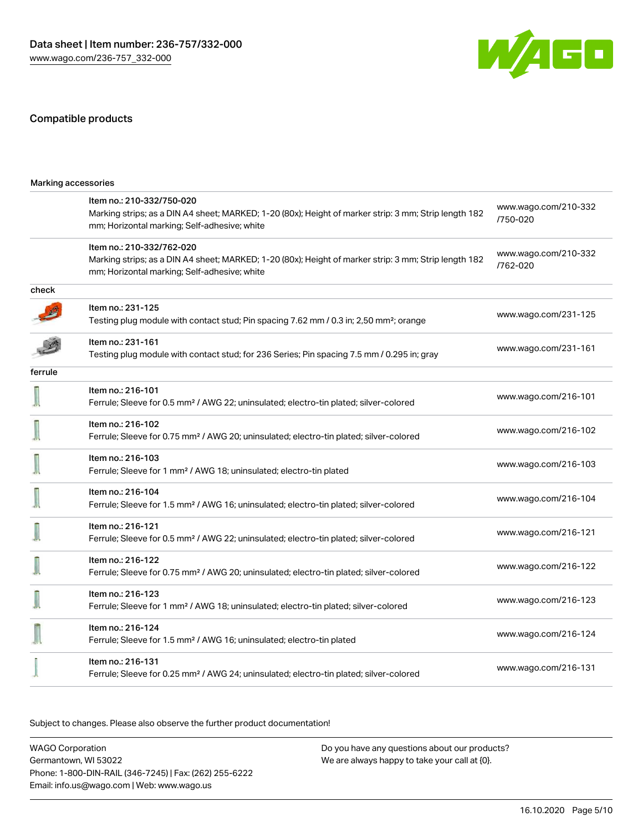

## Compatible products

|         | Item no.: 210-332/750-020<br>Marking strips; as a DIN A4 sheet; MARKED; 1-20 (80x); Height of marker strip: 3 mm; Strip length 182<br>mm; Horizontal marking; Self-adhesive; white | www.wago.com/210-332<br>/750-020 |
|---------|------------------------------------------------------------------------------------------------------------------------------------------------------------------------------------|----------------------------------|
|         | Item no.: 210-332/762-020<br>Marking strips; as a DIN A4 sheet; MARKED; 1-20 (80x); Height of marker strip: 3 mm; Strip length 182<br>mm; Horizontal marking; Self-adhesive; white | www.wago.com/210-332<br>/762-020 |
| check   |                                                                                                                                                                                    |                                  |
|         | Item no.: 231-125<br>Testing plug module with contact stud; Pin spacing 7.62 mm / 0.3 in; 2,50 mm <sup>2</sup> ; orange                                                            | www.wago.com/231-125             |
|         | Item no.: 231-161<br>Testing plug module with contact stud; for 236 Series; Pin spacing 7.5 mm / 0.295 in; gray                                                                    | www.wago.com/231-161             |
| ferrule |                                                                                                                                                                                    |                                  |
|         | Item no.: 216-101<br>Ferrule; Sleeve for 0.5 mm <sup>2</sup> / AWG 22; uninsulated; electro-tin plated; silver-colored                                                             | www.wago.com/216-101             |
|         | Item no.: 216-102<br>Ferrule; Sleeve for 0.75 mm <sup>2</sup> / AWG 20; uninsulated; electro-tin plated; silver-colored                                                            | www.wago.com/216-102             |
|         | Item no.: 216-103<br>Ferrule; Sleeve for 1 mm <sup>2</sup> / AWG 18; uninsulated; electro-tin plated                                                                               | www.wago.com/216-103             |
|         | Item no.: 216-104<br>Ferrule; Sleeve for 1.5 mm <sup>2</sup> / AWG 16; uninsulated; electro-tin plated; silver-colored                                                             | www.wago.com/216-104             |
|         | Item no.: 216-121<br>Ferrule; Sleeve for 0.5 mm <sup>2</sup> / AWG 22; uninsulated; electro-tin plated; silver-colored                                                             | www.wago.com/216-121             |
|         | Item no.: 216-122<br>Ferrule; Sleeve for 0.75 mm <sup>2</sup> / AWG 20; uninsulated; electro-tin plated; silver-colored                                                            | www.wago.com/216-122             |
|         | Item no.: 216-123<br>Ferrule; Sleeve for 1 mm <sup>2</sup> / AWG 18; uninsulated; electro-tin plated; silver-colored                                                               | www.wago.com/216-123             |
|         | Item no.: 216-124<br>Ferrule; Sleeve for 1.5 mm <sup>2</sup> / AWG 16; uninsulated; electro-tin plated                                                                             | www.wago.com/216-124             |
|         | Item no.: 216-131<br>Ferrule; Sleeve for 0.25 mm <sup>2</sup> / AWG 24; uninsulated; electro-tin plated; silver-colored                                                            | www.wago.com/216-131             |

Subject to changes. Please also observe the further product documentation!

| <b>WAGO Corporation</b>                                | Do you have any questions about our products? |
|--------------------------------------------------------|-----------------------------------------------|
| Germantown, WI 53022                                   | We are always happy to take your call at {0}. |
| Phone: 1-800-DIN-RAIL (346-7245)   Fax: (262) 255-6222 |                                               |
| Email: info.us@wago.com   Web: www.wago.us             |                                               |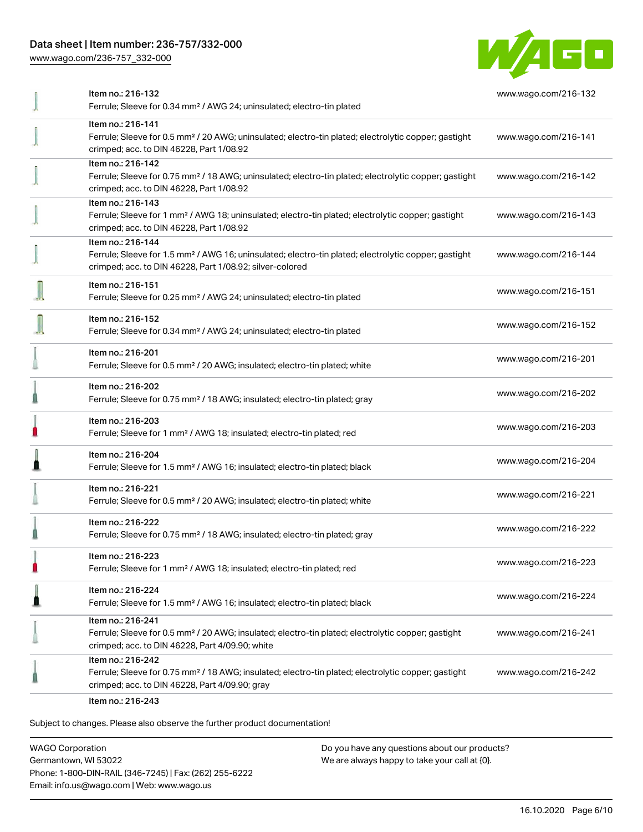## Data sheet | Item number: 236-757/332-000

[www.wago.com/236-757\\_332-000](http://www.wago.com/236-757_332-000)



|   | Item no.: 216-132<br>Ferrule; Sleeve for 0.34 mm <sup>2</sup> / AWG 24; uninsulated; electro-tin plated                                                                                           | www.wago.com/216-132 |
|---|---------------------------------------------------------------------------------------------------------------------------------------------------------------------------------------------------|----------------------|
|   | Item no.: 216-141<br>Ferrule; Sleeve for 0.5 mm <sup>2</sup> / 20 AWG; uninsulated; electro-tin plated; electrolytic copper; gastight<br>crimped; acc. to DIN 46228, Part 1/08.92                 | www.wago.com/216-141 |
|   | Item no.: 216-142<br>Ferrule; Sleeve for 0.75 mm <sup>2</sup> / 18 AWG; uninsulated; electro-tin plated; electrolytic copper; gastight<br>crimped; acc. to DIN 46228, Part 1/08.92                | www.wago.com/216-142 |
|   | Item no.: 216-143<br>Ferrule; Sleeve for 1 mm <sup>2</sup> / AWG 18; uninsulated; electro-tin plated; electrolytic copper; gastight<br>crimped; acc. to DIN 46228, Part 1/08.92                   | www.wago.com/216-143 |
|   | Item no.: 216-144<br>Ferrule; Sleeve for 1.5 mm <sup>2</sup> / AWG 16; uninsulated; electro-tin plated; electrolytic copper; gastight<br>crimped; acc. to DIN 46228, Part 1/08.92; silver-colored | www.wago.com/216-144 |
|   | Item no.: 216-151<br>Ferrule; Sleeve for 0.25 mm <sup>2</sup> / AWG 24; uninsulated; electro-tin plated                                                                                           | www.wago.com/216-151 |
|   | Item no.: 216-152<br>Ferrule; Sleeve for 0.34 mm <sup>2</sup> / AWG 24; uninsulated; electro-tin plated                                                                                           | www.wago.com/216-152 |
|   | Item no.: 216-201<br>Ferrule; Sleeve for 0.5 mm <sup>2</sup> / 20 AWG; insulated; electro-tin plated; white                                                                                       | www.wago.com/216-201 |
|   | Item no.: 216-202<br>Ferrule; Sleeve for 0.75 mm <sup>2</sup> / 18 AWG; insulated; electro-tin plated; gray                                                                                       | www.wago.com/216-202 |
|   | Item no.: 216-203<br>Ferrule; Sleeve for 1 mm <sup>2</sup> / AWG 18; insulated; electro-tin plated; red                                                                                           | www.wago.com/216-203 |
|   | Item no.: 216-204<br>Ferrule; Sleeve for 1.5 mm <sup>2</sup> / AWG 16; insulated; electro-tin plated; black                                                                                       | www.wago.com/216-204 |
|   | Item no.: 216-221<br>Ferrule; Sleeve for 0.5 mm <sup>2</sup> / 20 AWG; insulated; electro-tin plated; white                                                                                       | www.wago.com/216-221 |
|   | Item no.: 216-222<br>Ferrule; Sleeve for 0.75 mm <sup>2</sup> / 18 AWG; insulated; electro-tin plated; gray                                                                                       | www.wago.com/216-222 |
| n | Item no.: 216-223<br>Ferrule; Sleeve for 1 mm <sup>2</sup> / AWG 18; insulated; electro-tin plated; red                                                                                           | www.wago.com/216-223 |
|   | Item no.: 216-224<br>Ferrule; Sleeve for 1.5 mm <sup>2</sup> / AWG 16; insulated; electro-tin plated; black                                                                                       | www.wago.com/216-224 |
|   | Item no.: 216-241<br>Ferrule; Sleeve for 0.5 mm <sup>2</sup> / 20 AWG; insulated; electro-tin plated; electrolytic copper; gastight<br>crimped; acc. to DIN 46228, Part 4/09.90; white            | www.wago.com/216-241 |
|   | Item no.: 216-242<br>Ferrule; Sleeve for 0.75 mm <sup>2</sup> / 18 AWG; insulated; electro-tin plated; electrolytic copper; gastight<br>crimped; acc. to DIN 46228, Part 4/09.90; gray            | www.wago.com/216-242 |
|   |                                                                                                                                                                                                   |                      |

Item no.: 216-243

Subject to changes. Please also observe the further product documentation!

WAGO Corporation Germantown, WI 53022 Phone: 1-800-DIN-RAIL (346-7245) | Fax: (262) 255-6222 Email: info.us@wago.com | Web: www.wago.us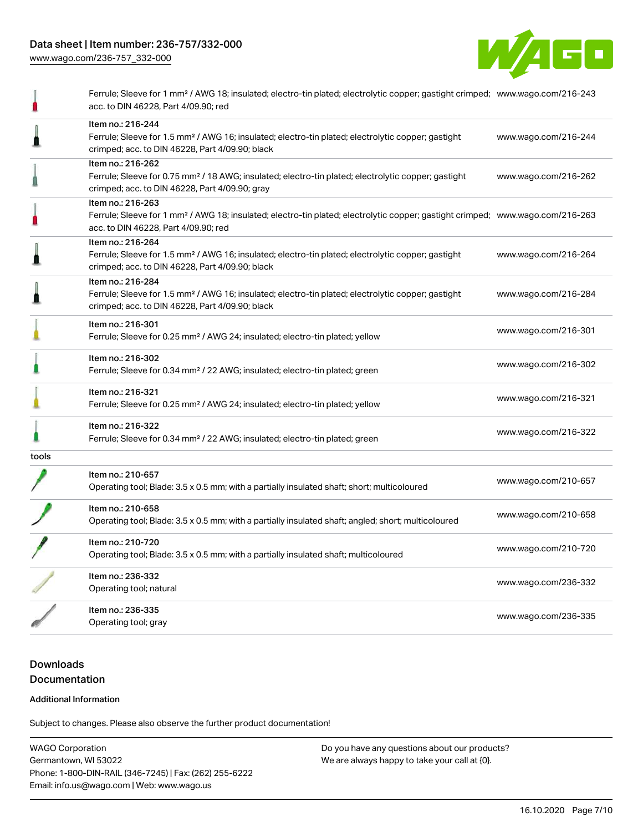## Data sheet | Item number: 236-757/332-000

[www.wago.com/236-757\\_332-000](http://www.wago.com/236-757_332-000)



|       | Ferrule; Sleeve for 1 mm <sup>2</sup> / AWG 18; insulated; electro-tin plated; electrolytic copper; gastight crimped; www.wago.com/216-243<br>acc. to DIN 46228, Part 4/09.90; red                      |                      |
|-------|---------------------------------------------------------------------------------------------------------------------------------------------------------------------------------------------------------|----------------------|
| ≞     | Item no.: 216-244<br>Ferrule; Sleeve for 1.5 mm <sup>2</sup> / AWG 16; insulated; electro-tin plated; electrolytic copper; gastight<br>crimped; acc. to DIN 46228, Part 4/09.90; black                  | www.wago.com/216-244 |
|       | Item no.: 216-262<br>Ferrule; Sleeve for 0.75 mm <sup>2</sup> / 18 AWG; insulated; electro-tin plated; electrolytic copper; gastight<br>crimped; acc. to DIN 46228, Part 4/09.90; gray                  | www.wago.com/216-262 |
| Ë     | Item no.: 216-263<br>Ferrule; Sleeve for 1 mm <sup>2</sup> / AWG 18; insulated; electro-tin plated; electrolytic copper; gastight crimped; www.wago.com/216-263<br>acc. to DIN 46228, Part 4/09.90; red |                      |
| ≞     | Item no.: 216-264<br>Ferrule; Sleeve for 1.5 mm <sup>2</sup> / AWG 16; insulated; electro-tin plated; electrolytic copper; gastight<br>crimped; acc. to DIN 46228, Part 4/09.90; black                  | www.wago.com/216-264 |
|       | Item no.: 216-284<br>Ferrule; Sleeve for 1.5 mm <sup>2</sup> / AWG 16; insulated; electro-tin plated; electrolytic copper; gastight<br>crimped; acc. to DIN 46228, Part 4/09.90; black                  | www.wago.com/216-284 |
|       | Item no.: 216-301<br>Ferrule; Sleeve for 0.25 mm <sup>2</sup> / AWG 24; insulated; electro-tin plated; yellow                                                                                           | www.wago.com/216-301 |
|       | Item no.: 216-302<br>Ferrule; Sleeve for 0.34 mm <sup>2</sup> / 22 AWG; insulated; electro-tin plated; green                                                                                            | www.wago.com/216-302 |
|       | Item no.: 216-321<br>Ferrule; Sleeve for 0.25 mm <sup>2</sup> / AWG 24; insulated; electro-tin plated; yellow                                                                                           | www.wago.com/216-321 |
|       | Item no.: 216-322<br>Ferrule; Sleeve for 0.34 mm <sup>2</sup> / 22 AWG; insulated; electro-tin plated; green                                                                                            | www.wago.com/216-322 |
| tools |                                                                                                                                                                                                         |                      |
|       | Item no.: 210-657<br>Operating tool; Blade: 3.5 x 0.5 mm; with a partially insulated shaft; short; multicoloured                                                                                        | www.wago.com/210-657 |
|       | Item no.: 210-658<br>Operating tool; Blade: 3.5 x 0.5 mm; with a partially insulated shaft; angled; short; multicoloured                                                                                | www.wago.com/210-658 |
|       | Item no.: 210-720<br>Operating tool; Blade: 3.5 x 0.5 mm; with a partially insulated shaft; multicoloured                                                                                               | www.wago.com/210-720 |
|       | Item no.: 236-332<br>Operating tool; natural                                                                                                                                                            | www.wago.com/236-332 |
|       | Item no.: 236-335<br>Operating tool; gray                                                                                                                                                               | www.wago.com/236-335 |

## Downloads Documentation

#### Additional Information

Subject to changes. Please also observe the further product documentation!

WAGO Corporation Germantown, WI 53022 Phone: 1-800-DIN-RAIL (346-7245) | Fax: (262) 255-6222 Email: info.us@wago.com | Web: www.wago.us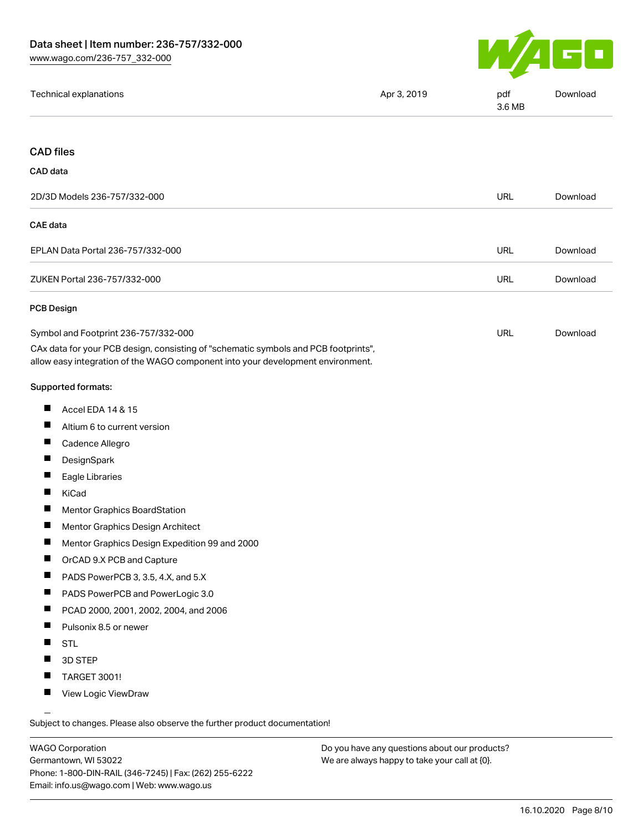

| www.wago.com/236-757_332-000                                                                                                                                           |             |               |          |
|------------------------------------------------------------------------------------------------------------------------------------------------------------------------|-------------|---------------|----------|
| Technical explanations                                                                                                                                                 | Apr 3, 2019 | pdf<br>3.6 MB | Download |
|                                                                                                                                                                        |             |               |          |
| <b>CAD files</b>                                                                                                                                                       |             |               |          |
| CAD data                                                                                                                                                               |             |               |          |
| 2D/3D Models 236-757/332-000                                                                                                                                           |             | <b>URL</b>    | Download |
| <b>CAE</b> data                                                                                                                                                        |             |               |          |
| EPLAN Data Portal 236-757/332-000                                                                                                                                      |             | <b>URL</b>    | Download |
| ZUKEN Portal 236-757/332-000                                                                                                                                           |             | <b>URL</b>    | Download |
| <b>PCB Design</b>                                                                                                                                                      |             |               |          |
| Symbol and Footprint 236-757/332-000                                                                                                                                   |             | <b>URL</b>    | Download |
| CAx data for your PCB design, consisting of "schematic symbols and PCB footprints",<br>allow easy integration of the WAGO component into your development environment. |             |               |          |
| Supported formats:                                                                                                                                                     |             |               |          |
| Accel EDA 14 & 15                                                                                                                                                      |             |               |          |
| Altium 6 to current version                                                                                                                                            |             |               |          |
| ш<br>Cadence Allegro                                                                                                                                                   |             |               |          |
| Ш<br>DesignSpark                                                                                                                                                       |             |               |          |
| Eagle Libraries                                                                                                                                                        |             |               |          |
| KiCad                                                                                                                                                                  |             |               |          |
| Mentor Graphics BoardStation                                                                                                                                           |             |               |          |
| Mentor Graphics Design Architect                                                                                                                                       |             |               |          |
| п<br>Mentor Graphics Design Expedition 99 and 2000                                                                                                                     |             |               |          |
| OrCAD 9.X PCB and Capture                                                                                                                                              |             |               |          |

- PADS PowerPCB 3, 3.5, 4.X, and 5.X
- **PADS PowerPCB and PowerLogic 3.0**
- PCAD 2000, 2001, 2002, 2004, and 2006
- $\blacksquare$ Pulsonix 8.5 or newer
- $\blacksquare$ **STL**
- $\blacksquare$ 3D STEP
- П TARGET 3001!
- $\blacksquare$ View Logic ViewDraw

Subject to changes. Please also observe the further product documentation!

WAGO Corporation Germantown, WI 53022 Phone: 1-800-DIN-RAIL (346-7245) | Fax: (262) 255-6222 Email: info.us@wago.com | Web: www.wago.us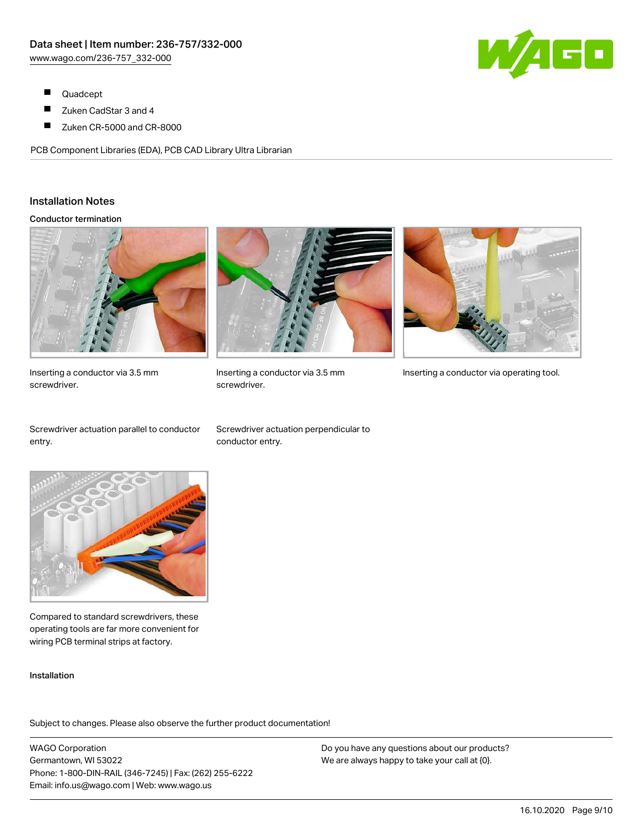- $\blacksquare$ Quadcept
- П Zuken CadStar 3 and 4
- $\blacksquare$ Zuken CR-5000 and CR-8000

PCB Component Libraries (EDA), PCB CAD Library Ultra Librarian

### Installation Notes

#### Conductor termination



Inserting a conductor via 3.5 mm screwdriver.

Screwdriver actuation parallel to conductor entry.

Screwdriver actuation perpendicular to conductor entry.

screwdriver.



Inserting a conductor via 3.5 mm Inserting a conductor via operating tool.



Compared to standard screwdrivers, these operating tools are far more convenient for wiring PCB terminal strips at factory.

#### Installation

Subject to changes. Please also observe the further product documentation!

WAGO Corporation Germantown, WI 53022 Phone: 1-800-DIN-RAIL (346-7245) | Fax: (262) 255-6222 Email: info.us@wago.com | Web: www.wago.us